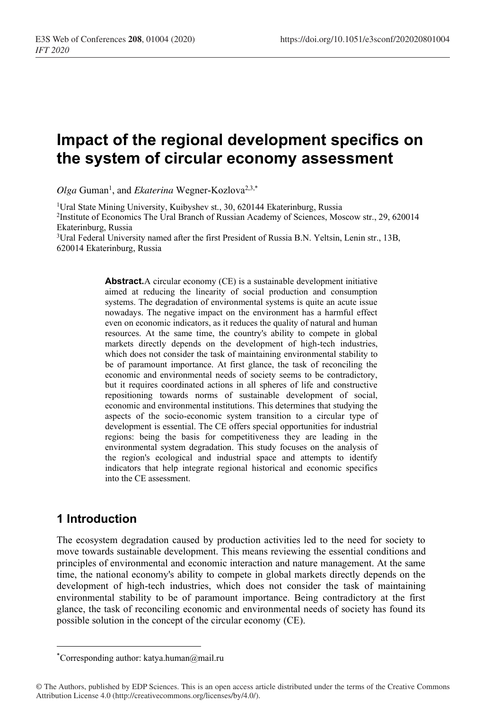# **Impact of the regional development specifics on the system of circular economy assessment**

Olga Guman<sup>1</sup>, and *Ekaterina* Wegner-Kozlova<sup>2,3,\*</sup>

<sup>1</sup>Ural State Mining University, Kuibyshev st., 30, 620144 Ekaterinburg, Russia 2Institute of Economics The Ural Branch of Russian Academy of Sciences, Moscow str., 29, 620014 Ekaterinburg, Russia

3Ural Federal University named after the first President of Russia B.N. Yeltsin, Lenin str., 13B, 620014 Ekaterinburg, Russia

> **Abstract.**A circular economy (CE) is a sustainable development initiative aimed at reducing the linearity of social production and consumption systems. The degradation of environmental systems is quite an acute issue nowadays. The negative impact on the environment has a harmful effect even on economic indicators, as it reduces the quality of natural and human resources. At the same time, the country's ability to compete in global markets directly depends on the development of high-tech industries, which does not consider the task of maintaining environmental stability to be of paramount importance. At first glance, the task of reconciling the economic and environmental needs of society seems to be contradictory, but it requires coordinated actions in all spheres of life and constructive repositioning towards norms of sustainable development of social, economic and environmental institutions. This determines that studying the aspects of the socio-economic system transition to a circular type of development is essential. The CE offers special opportunities for industrial regions: being the basis for competitiveness they are leading in the environmental system degradation. This study focuses on the analysis of the region's ecological and industrial space and attempts to identify indicators that help integrate regional historical and economic specifics into the CE assessment.

## **1 Introduction**

The ecosystem degradation caused by production activities led to the need for society to move towards sustainable development. This means reviewing the essential conditions and principles of environmental and economic interaction and nature management. At the same time, the national economy's ability to compete in global markets directly depends on the development of high-tech industries, which does not consider the task of maintaining environmental stability to be of paramount importance. Being contradictory at the first glance, the task of reconciling economic and environmental needs of society has found its possible solution in the concept of the circular economy (CE).

<sup>\*</sup> Corresponding author: katya.human@mail.ru

<sup>©</sup> The Authors, published by EDP Sciences. This is an open access article distributed under the terms of the Creative Commons Attribution License 4.0 (http://creativecommons.org/licenses/by/4.0/).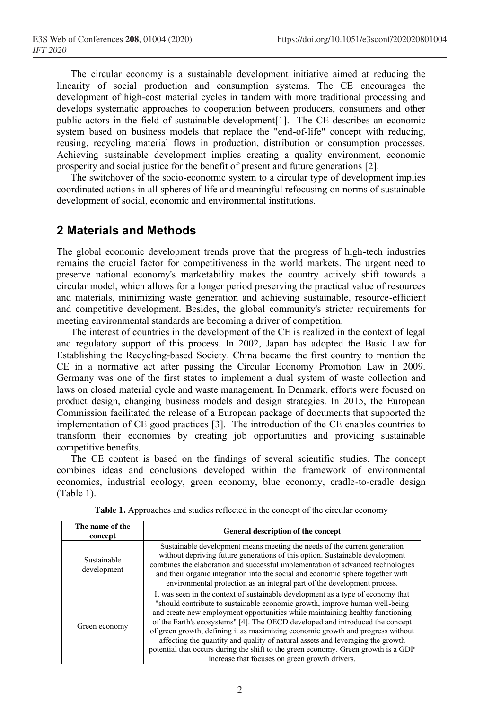The circular economy is a sustainable development initiative aimed at reducing the linearity of social production and consumption systems. The CE encourages the development of high-cost material cycles in tandem with more traditional processing and develops systematic approaches to cooperation between producers, consumers and other public actors in the field of sustainable development[1]. The CE describes an economic system based on business models that replace the "end-of-life" concept with reducing, reusing, recycling material flows in production, distribution or consumption processes. Achieving sustainable development implies creating a quality environment, economic prosperity and social justice for the benefit of present and future generations [2].

The switchover of the socio-economic system to a circular type of development implies coordinated actions in all spheres of life and meaningful refocusing on norms of sustainable development of social, economic and environmental institutions.

### **2 Materials and Methods**

The global economic development trends prove that the progress of high-tech industries remains the crucial factor for competitiveness in the world markets. The urgent need to preserve national economy's marketability makes the country actively shift towards a circular model, which allows for a longer period preserving the practical value of resources and materials, minimizing waste generation and achieving sustainable, resource-efficient and competitive development. Besides, the global community's stricter requirements for meeting environmental standards are becoming a driver of competition.

The interest of countries in the development of the CE is realized in the context of legal and regulatory support of this process. In 2002, Japan has adopted the Basic Law for Establishing the Recycling-based Society. China became the first country to mention the CE in a normative act after passing the Circular Economy Promotion Law in 2009. Germany was one of the first states to implement a dual system of waste collection and laws on closed material cycle and waste management. In Denmark, efforts were focused on product design, changing business models and design strategies. In 2015, the European Commission facilitated the release of a European package of documents that supported the implementation of CE good practices [3]. The introduction of the CE enables countries to transform their economies by creating job opportunities and providing sustainable competitive benefits.

The CE content is based on the findings of several scientific studies. The concept combines ideas and conclusions developed within the framework of environmental economics, industrial ecology, green economy, blue economy, cradle-to-cradle design (Table 1).

| The name of the<br>concept | General description of the concept                                                                                                                                                                                                                                                                                                                                                                                                                                                                                                                                                                                                            |  |  |
|----------------------------|-----------------------------------------------------------------------------------------------------------------------------------------------------------------------------------------------------------------------------------------------------------------------------------------------------------------------------------------------------------------------------------------------------------------------------------------------------------------------------------------------------------------------------------------------------------------------------------------------------------------------------------------------|--|--|
| Sustainable<br>development | Sustainable development means meeting the needs of the current generation<br>without depriving future generations of this option. Sustainable development<br>combines the elaboration and successful implementation of advanced technologies<br>and their organic integration into the social and economic sphere together with<br>environmental protection as an integral part of the development process.                                                                                                                                                                                                                                   |  |  |
| Green economy              | It was seen in the context of sustainable development as a type of economy that<br>"should contribute to sustainable economic growth, improve human well-being<br>and create new employment opportunities while maintaining healthy functioning<br>of the Earth's ecosystems" [4]. The OECD developed and introduced the concept<br>of green growth, defining it as maximizing economic growth and progress without<br>affecting the quantity and quality of natural assets and leveraging the growth<br>potential that occurs during the shift to the green economy. Green growth is a GDP<br>increase that focuses on green growth drivers. |  |  |

**Table 1.** Approaches and studies reflected in the concept of the circular economy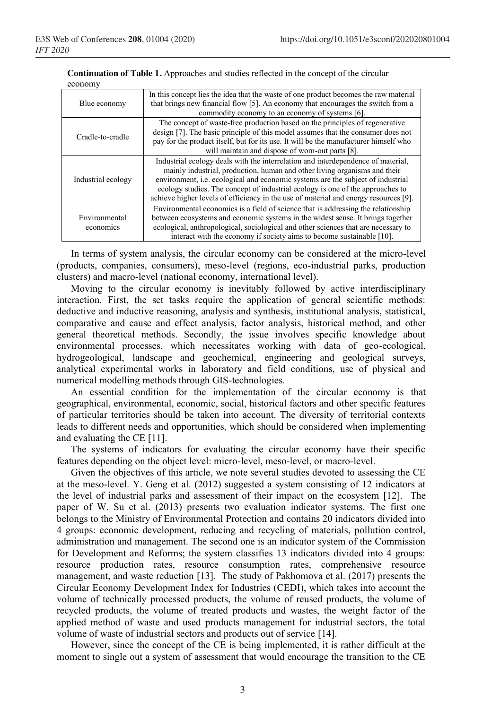| Blue economy               | In this concept lies the idea that the waste of one product becomes the raw material<br>that brings new financial flow [5]. An economy that encourages the switch from a<br>commodity economy to an economy of systems [6].                                                                                                                                                                                                       |
|----------------------------|-----------------------------------------------------------------------------------------------------------------------------------------------------------------------------------------------------------------------------------------------------------------------------------------------------------------------------------------------------------------------------------------------------------------------------------|
| Cradle-to-cradle           | The concept of waste-free production based on the principles of regenerative<br>design [7]. The basic principle of this model assumes that the consumer does not<br>pay for the product itself, but for its use. It will be the manufacturer himself who<br>will maintain and dispose of worn-out parts [8].                                                                                                                      |
| Industrial ecology         | Industrial ecology deals with the interrelation and interdependence of material,<br>mainly industrial, production, human and other living organisms and their<br>environment, <i>i.e.</i> ecological and economic systems are the subject of industrial<br>ecology studies. The concept of industrial ecology is one of the approaches to<br>achieve higher levels of efficiency in the use of material and energy resources [9]. |
| Environmental<br>economics | Environmental economics is a field of science that is addressing the relationship<br>between ecosystems and economic systems in the widest sense. It brings together<br>ecological, anthropological, sociological and other sciences that are necessary to<br>interact with the economy if society aims to become sustainable [10].                                                                                               |

**Continuation of Table 1.** Approaches and studies reflected in the concept of the circular economy

In terms of system analysis, the circular economy can be considered at the micro-level (products, companies, consumers), meso-level (regions, eco-industrial parks, production clusters) and macro-level (national economy, international level).

Moving to the circular economy is inevitably followed by active interdisciplinary interaction. First, the set tasks require the application of general scientific methods: deductive and inductive reasoning, analysis and synthesis, institutional analysis, statistical, comparative and cause and effect analysis, factor analysis, historical method, and other general theoretical methods. Secondly, the issue involves specific knowledge about environmental processes, which necessitates working with data of geo-ecological, hydrogeological, landscape and geochemical, engineering and geological surveys, analytical experimental works in laboratory and field conditions, use of physical and numerical modelling methods through GIS-technologies.

An essential condition for the implementation of the circular economy is that geographical, environmental, economic, social, historical factors and other specific features of particular territories should be taken into account. The diversity of territorial contexts leads to different needs and opportunities, which should be considered when implementing and evaluating the CE [11].

The systems of indicators for evaluating the circular economy have their specific features depending on the object level: micro-level, meso-level, or macro-level.

Given the objectives of this article, we note several studies devoted to assessing the CE at the meso-level. Y. Geng et al. (2012) suggested a system consisting of 12 indicators at the level of industrial parks and assessment of their impact on the ecosystem [12]. The paper of W. Su et al. (2013) presents two evaluation indicator systems. The first one belongs to the Ministry of Environmental Protection and contains 20 indicators divided into 4 groups: economic development, reducing and recycling of materials, pollution control, administration and management. The second one is an indicator system of the Commission for Development and Reforms; the system classifies 13 indicators divided into 4 groups: resource production rates, resource consumption rates, comprehensive resource management, and waste reduction [13]. The study of Pakhomova et al. (2017) presents the Circular Economy Development Index for Industries (CEDI), which takes into account the volume of technically processed products, the volume of reused products, the volume of recycled products, the volume of treated products and wastes, the weight factor of the applied method of waste and used products management for industrial sectors, the total volume of waste of industrial sectors and products out of service [14].

However, since the concept of the CE is being implemented, it is rather difficult at the moment to single out a system of assessment that would encourage the transition to the CE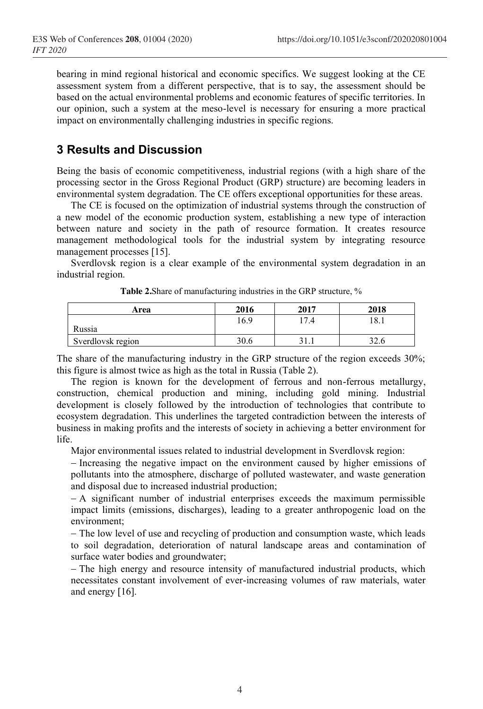bearing in mind regional historical and economic specifics. We suggest looking at the CE assessment system from a different perspective, that is to say, the assessment should be based on the actual environmental problems and economic features of specific territories. In our opinion, such a system at the meso-level is necessary for ensuring a more practical impact on environmentally challenging industries in specific regions.

## **3 Results and Discussion**

Being the basis of economic competitiveness, industrial regions (with a high share of the processing sector in the Gross Regional Product (GRP) structure) are becoming leaders in environmental system degradation. The CE offers exceptional opportunities for these areas.

The CE is focused on the optimization of industrial systems through the construction of a new model of the economic production system, establishing a new type of interaction between nature and society in the path of resource formation. It creates resource management methodological tools for the industrial system by integrating resource management processes [15].

Sverdlovsk region is a clear example of the environmental system degradation in an industrial region.

| Area              | 2016 | 2017 | 2018 |
|-------------------|------|------|------|
| Russia            | 16.9 | 7.4  | 18.1 |
| Sverdlovsk region | 30.6 | .    | 32.6 |

|  | Table 2. Share of manufacturing industries in the GRP structure, % |
|--|--------------------------------------------------------------------|
|--|--------------------------------------------------------------------|

The share of the manufacturing industry in the GRP structure of the region exceeds 30%; this figure is almost twice as high as the total in Russia (Table 2).

The region is known for the development of ferrous and non-ferrous metallurgy, construction, chemical production and mining, including gold mining. Industrial development is closely followed by the introduction of technologies that contribute to ecosystem degradation. This underlines the targeted contradiction between the interests of business in making profits and the interests of society in achieving a better environment for life.

Major environmental issues related to industrial development in Sverdlovsk region:

− Increasing the negative impact on the environment caused by higher emissions of pollutants into the atmosphere, discharge of polluted wastewater, and waste generation and disposal due to increased industrial production;

− A significant number of industrial enterprises exceeds the maximum permissible impact limits (emissions, discharges), leading to a greater anthropogenic load on the environment;

− The low level of use and recycling of production and consumption waste, which leads to soil degradation, deterioration of natural landscape areas and contamination of surface water bodies and groundwater;

− The high energy and resource intensity of manufactured industrial products, which necessitates constant involvement of ever-increasing volumes of raw materials, water and energy [16].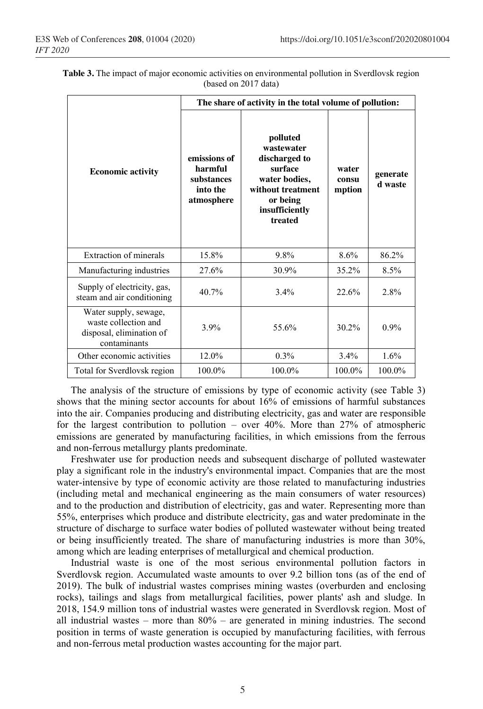|                                                                                           | The share of activity in the total volume of pollution:         |                                                                                                                                   |                          |                     |  |
|-------------------------------------------------------------------------------------------|-----------------------------------------------------------------|-----------------------------------------------------------------------------------------------------------------------------------|--------------------------|---------------------|--|
| <b>Economic activity</b>                                                                  | emissions of<br>harmful<br>substances<br>into the<br>atmosphere | polluted<br>wastewater<br>discharged to<br>surface<br>water bodies,<br>without treatment<br>or being<br>insufficiently<br>treated | water<br>consu<br>mption | generate<br>d waste |  |
| <b>Extraction of minerals</b>                                                             | 15.8%                                                           | 9.8%                                                                                                                              | 8.6%                     | 86.2%               |  |
| Manufacturing industries                                                                  | 27.6%                                                           | 30.9%                                                                                                                             | 35.2%                    | 8.5%                |  |
| Supply of electricity, gas,<br>steam and air conditioning                                 | 40.7%                                                           | 3.4%                                                                                                                              | 22.6%                    | 2.8%                |  |
| Water supply, sewage,<br>waste collection and<br>disposal, elimination of<br>contaminants | 3.9%                                                            | 55.6%                                                                                                                             | $30.2\%$                 | 0.9%                |  |
| Other economic activities                                                                 | 12.0%                                                           | 0.3%                                                                                                                              | 3.4%                     | 1.6%                |  |
| Total for Sverdlovsk region                                                               | 100.0%                                                          | 100.0%                                                                                                                            | 100.0%                   | 100.0%              |  |

|  |                      |  | Table 3. The impact of major economic activities on environmental pollution in Sverdlovsk region |  |
|--|----------------------|--|--------------------------------------------------------------------------------------------------|--|
|  | (based on 2017 data) |  |                                                                                                  |  |

The analysis of the structure of emissions by type of economic activity (see Table 3) shows that the mining sector accounts for about 16% of emissions of harmful substances into the air. Companies producing and distributing electricity, gas and water are responsible for the largest contribution to pollution – over  $40\%$ . More than 27% of atmospheric emissions are generated by manufacturing facilities, in which emissions from the ferrous and non-ferrous metallurgy plants predominate.

Freshwater use for production needs and subsequent discharge of polluted wastewater play a significant role in the industry's environmental impact. Companies that are the most water-intensive by type of economic activity are those related to manufacturing industries (including metal and mechanical engineering as the main consumers of water resources) and to the production and distribution of electricity, gas and water. Representing more than 55%, enterprises which produce and distribute electricity, gas and water predominate in the structure of discharge to surface water bodies of polluted wastewater without being treated or being insufficiently treated. The share of manufacturing industries is more than 30%, among which are leading enterprises of metallurgical and chemical production.

Industrial waste is one of the most serious environmental pollution factors in Sverdlovsk region. Accumulated waste amounts to over 9.2 billion tons (as of the end of 2019). The bulk of industrial wastes comprises mining wastes (overburden and enclosing rocks), tailings and slags from metallurgical facilities, power plants' ash and sludge. In 2018, 154.9 million tons of industrial wastes were generated in Sverdlovsk region. Most of all industrial wastes – more than  $80\%$  – are generated in mining industries. The second position in terms of waste generation is occupied by manufacturing facilities, with ferrous and non-ferrous metal production wastes accounting for the major part.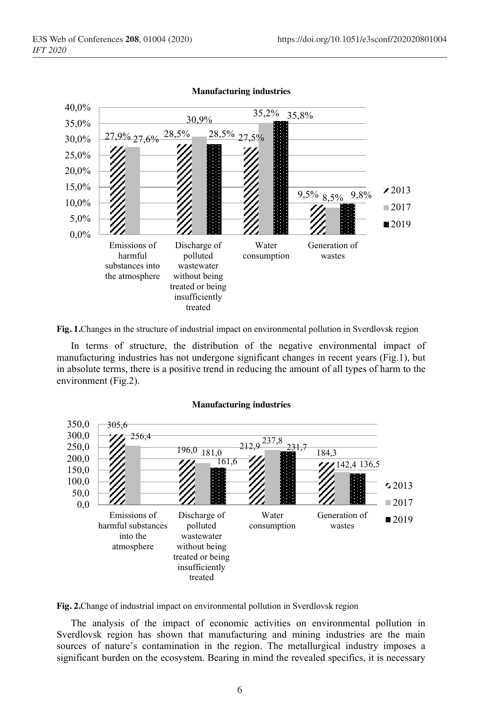

**Manufacturing industries**

**Fig. 1.**Changes in the structure of industrial impact on environmental pollution in Sverdlovsk region

In terms of structure, the distribution of the negative environmental impact of manufacturing industries has not undergone significant changes in recent years (Fig.1), but in absolute terms, there is a positive trend in reducing the amount of all types of harm to the environment (Fig.2).

#### **Manufacturing industries**



**Fig. 2.**Change of industrial impact on environmental pollution in Sverdlovsk region

The analysis of the impact of economic activities on environmental pollution in Sverdlovsk region has shown that manufacturing and mining industries are the main sources of nature's contamination in the region. The metallurgical industry imposes a significant burden on the ecosystem. Bearing in mind the revealed specifics, it is necessary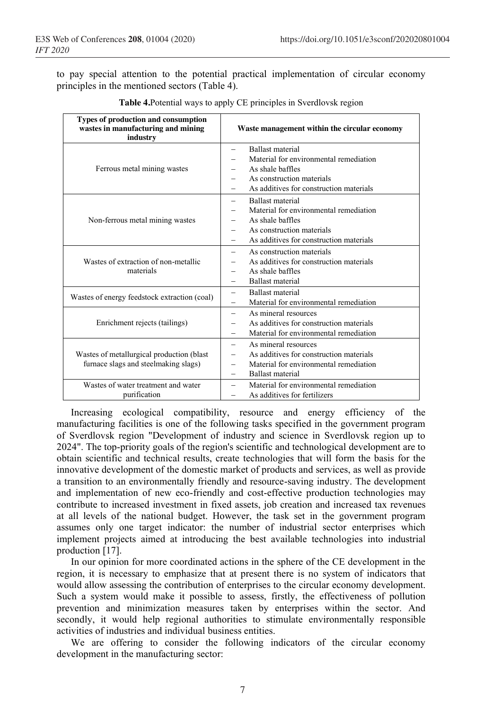to pay special attention to the potential practical implementation of circular economy principles in the mentioned sectors (Table 4).

| <b>Types of production and consumption</b><br>wastes in manufacturing and mining<br>industry | Waste management within the circular economy                                                                                                                                              |  |  |
|----------------------------------------------------------------------------------------------|-------------------------------------------------------------------------------------------------------------------------------------------------------------------------------------------|--|--|
| Ferrous metal mining wastes                                                                  | <b>Ballast</b> material<br>$\overline{\phantom{0}}$<br>Material for environmental remediation<br>As shale baffles<br>As construction materials<br>As additives for construction materials |  |  |
| Non-ferrous metal mining wastes                                                              | <b>Ballast</b> material<br>Material for environmental remediation<br>As shale baffles<br>As construction materials<br>$\equiv$<br>As additives for construction materials                 |  |  |
| Wastes of extraction of non-metallic<br>materials                                            | As construction materials<br>$\overline{\phantom{0}}$<br>As additives for construction materials<br>As shale baffles<br><b>Ballast</b> material                                           |  |  |
| Wastes of energy feedstock extraction (coal)                                                 | <b>Ballast</b> material<br>$\overline{\phantom{0}}$<br>Material for environmental remediation                                                                                             |  |  |
| Enrichment rejects (tailings)                                                                | As mineral resources<br>$\overline{\phantom{0}}$<br>As additives for construction materials<br>Material for environmental remediation                                                     |  |  |
| Wastes of metallurgical production (blast<br>furnace slags and steelmaking slags)            | As mineral resources<br>$\overline{\phantom{0}}$<br>As additives for construction materials<br>Material for environmental remediation<br><b>Ballast</b> material                          |  |  |
| Wastes of water treatment and water<br>purification                                          | Material for environmental remediation<br>—<br>As additives for fertilizers                                                                                                               |  |  |

**Table 4.**Potential ways to apply CE principles in Sverdlovsk region

Increasing ecological compatibility, resource and energy efficiency of the manufacturing facilities is one of the following tasks specified in the government program of Sverdlovsk region "Development of industry and science in Sverdlovsk region up to 2024". The top-priority goals of the region's scientific and technological development are to obtain scientific and technical results, create technologies that will form the basis for the innovative development of the domestic market of products and services, as well as provide a transition to an environmentally friendly and resource-saving industry. The development and implementation of new eco-friendly and cost-effective production technologies may contribute to increased investment in fixed assets, job creation and increased tax revenues at all levels of the national budget. However, the task set in the government program assumes only one target indicator: the number of industrial sector enterprises which implement projects aimed at introducing the best available technologies into industrial production [17].

In our opinion for more coordinated actions in the sphere of the CE development in the region, it is necessary to emphasize that at present there is no system of indicators that would allow assessing the contribution of enterprises to the circular economy development. Such a system would make it possible to assess, firstly, the effectiveness of pollution prevention and minimization measures taken by enterprises within the sector. And secondly, it would help regional authorities to stimulate environmentally responsible activities of industries and individual business entities.

We are offering to consider the following indicators of the circular economy development in the manufacturing sector: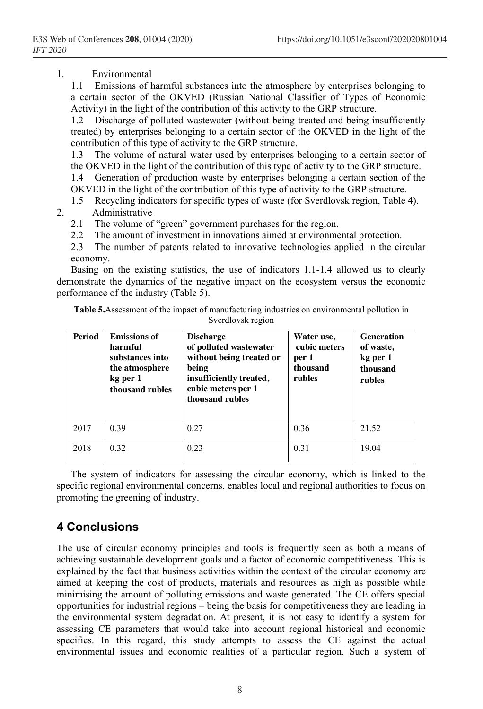#### 1. Environmental

1.1 Emissions of harmful substances into the atmosphere by enterprises belonging to a certain sector of the OKVED (Russian National Classifier of Types of Economic Activity) in the light of the contribution of this activity to the GRP structure.

1.2 Discharge of polluted wastewater (without being treated and being insufficiently treated) by enterprises belonging to a certain sector of the OKVED in the light of the contribution of this type of activity to the GRP structure.

1.3 The volume of natural water used by enterprises belonging to a certain sector of the OKVED in the light of the contribution of this type of activity to the GRP structure. 1.4 Generation of production waste by enterprises belonging a certain section of the

OKVED in the light of the contribution of this type of activity to the GRP structure.

1.5 Recycling indicators for specific types of waste (for Sverdlovsk region, Table 4).

#### 2. Administrative

- 2.1 The volume of "green" government purchases for the region.
- 2.2 The amount of investment in innovations aimed at environmental protection.

2.3 The number of patents related to innovative technologies applied in the circular economy.

Basing on the existing statistics, the use of indicators 1.1-1.4 allowed us to clearly demonstrate the dynamics of the negative impact on the ecosystem versus the economic performance of the industry (Table 5).

| <b>Period</b> | <b>Emissions of</b><br>harmful<br>substances into<br>the atmosphere<br>kg per 1<br>thousand rubles | <b>Discharge</b><br>of polluted wastewater<br>without being treated or<br>being<br>insufficiently treated,<br>cubic meters per 1<br>thousand rubles | Water use,<br>cubic meters<br>per 1<br>thousand<br>rubles | <b>Generation</b><br>of waste,<br>kg per 1<br>thousand<br>rubles |
|---------------|----------------------------------------------------------------------------------------------------|-----------------------------------------------------------------------------------------------------------------------------------------------------|-----------------------------------------------------------|------------------------------------------------------------------|
| 2017          | 0.39                                                                                               | 0.27                                                                                                                                                | 0.36                                                      | 21.52                                                            |
| 2018          | 0.32                                                                                               | 0.23                                                                                                                                                | 0.31                                                      | 19.04                                                            |

**Table 5.**Assessment of the impact of manufacturing industries on environmental pollution in Sverdlovsk region

The system of indicators for assessing the circular economy, which is linked to the specific regional environmental concerns, enables local and regional authorities to focus on promoting the greening of industry.

## **4 Conclusions**

The use of circular economy principles and tools is frequently seen as both a means of achieving sustainable development goals and a factor of economic competitiveness. This is explained by the fact that business activities within the context of the circular economy are aimed at keeping the cost of products, materials and resources as high as possible while minimising the amount of polluting emissions and waste generated. The CE offers special opportunities for industrial regions – being the basis for competitiveness they are leading in the environmental system degradation. At present, it is not easy to identify a system for assessing CE parameters that would take into account regional historical and economic specifics. In this regard, this study attempts to assess the CE against the actual environmental issues and economic realities of a particular region. Such a system of